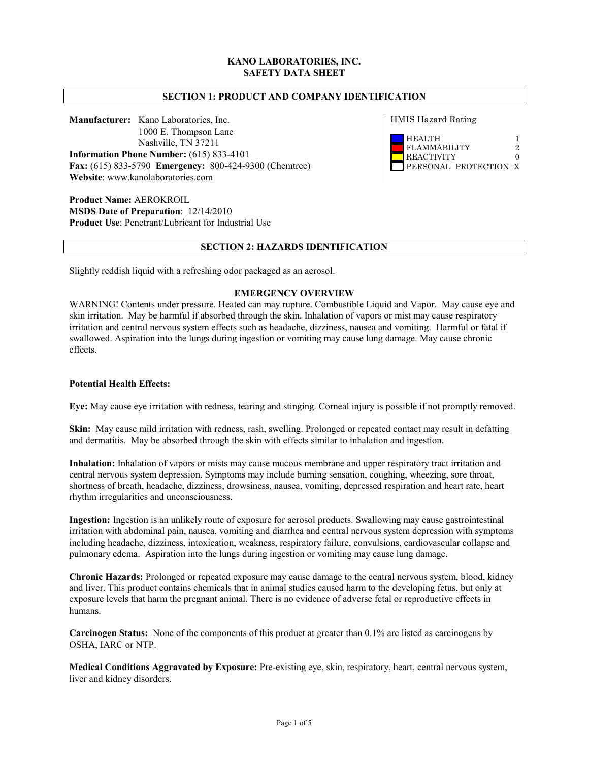# **KANO LABORATORIES, INC. SAFETY DATA SHEET**

## **SECTION 1: PRODUCT AND COMPANY IDENTIFICATION**

**Manufacturer:** Kano Laboratories, Inc. 1000 E. Thompson Lane Nashville, TN 37211 **Information Phone Number:** (615) 833-4101 **Fax:** (615) 833-5790 **Emergency:** 800-424-9300 (Chemtrec) **Website**: www.kanolaboratories.com

**Product Name:** AEROKROIL **MSDS Date of Preparation**: 12/14/2010 **Product Use**: Penetrant/Lubricant for Industrial Use HMIS Hazard Rating



## **SECTION 2: HAZARDS IDENTIFICATION**

Slightly reddish liquid with a refreshing odor packaged as an aerosol.

## **EMERGENCY OVERVIEW**

WARNING! Contents under pressure. Heated can may rupture. Combustible Liquid and Vapor. May cause eye and skin irritation. May be harmful if absorbed through the skin. Inhalation of vapors or mist may cause respiratory irritation and central nervous system effects such as headache, dizziness, nausea and vomiting. Harmful or fatal if swallowed. Aspiration into the lungs during ingestion or vomiting may cause lung damage. May cause chronic effects.

## **Potential Health Effects:**

**Eye:** May cause eye irritation with redness, tearing and stinging. Corneal injury is possible if not promptly removed.

**Skin:** May cause mild irritation with redness, rash, swelling. Prolonged or repeated contact may result in defatting and dermatitis. May be absorbed through the skin with effects similar to inhalation and ingestion.

**Inhalation:** Inhalation of vapors or mists may cause mucous membrane and upper respiratory tract irritation and central nervous system depression. Symptoms may include burning sensation, coughing, wheezing, sore throat, shortness of breath, headache, dizziness, drowsiness, nausea, vomiting, depressed respiration and heart rate, heart rhythm irregularities and unconsciousness.

**Ingestion:** Ingestion is an unlikely route of exposure for aerosol products. Swallowing may cause gastrointestinal irritation with abdominal pain, nausea, vomiting and diarrhea and central nervous system depression with symptoms including headache, dizziness, intoxication, weakness, respiratory failure, convulsions, cardiovascular collapse and pulmonary edema. Aspiration into the lungs during ingestion or vomiting may cause lung damage.

**Chronic Hazards:** Prolonged or repeated exposure may cause damage to the central nervous system, blood, kidney and liver. This product contains chemicals that in animal studies caused harm to the developing fetus, but only at exposure levels that harm the pregnant animal. There is no evidence of adverse fetal or reproductive effects in humans.

**Carcinogen Status:** None of the components of this product at greater than 0.1% are listed as carcinogens by OSHA, IARC or NTP.

**Medical Conditions Aggravated by Exposure:** Pre-existing eye, skin, respiratory, heart, central nervous system, liver and kidney disorders.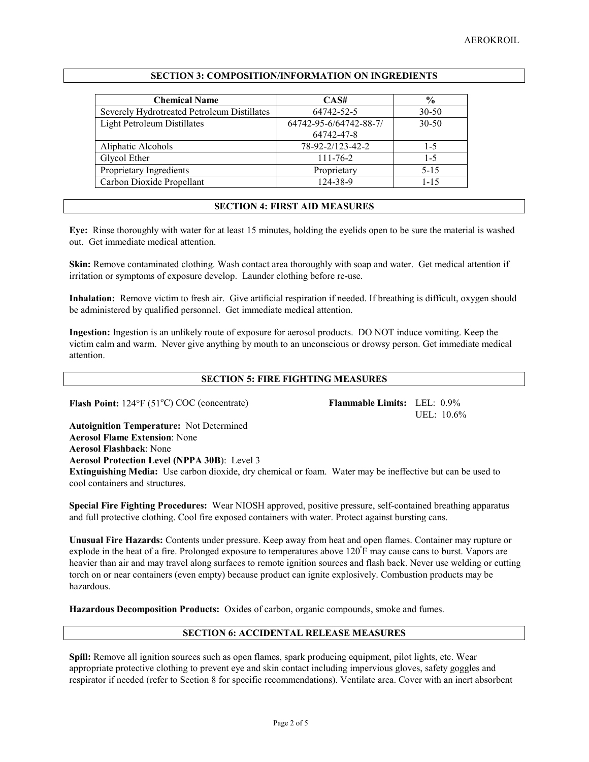| <b>Chemical Name</b>                        | CAS#                   | $\frac{0}{0}$ |
|---------------------------------------------|------------------------|---------------|
| Severely Hydrotreated Petroleum Distillates | 64742-52-5             | $30 - 50$     |
| Light Petroleum Distillates                 | 64742-95-6/64742-88-7/ | $30 - 50$     |
|                                             | 64742-47-8             |               |
| Aliphatic Alcohols                          | 78-92-2/123-42-2       | $1-5$         |
| Glycol Ether                                | $111 - 76 - 2$         | $1-5$         |
| Proprietary Ingredients                     | Proprietary            | $5 - 15$      |
| Carbon Dioxide Propellant                   | 124-38-9               | $1 - 15$      |

### **SECTION 3: COMPOSITION/INFORMATION ON INGREDIENTS**

# **SECTION 4: FIRST AID MEASURES**

**Eye:** Rinse thoroughly with water for at least 15 minutes, holding the eyelids open to be sure the material is washed out. Get immediate medical attention.

**Skin:** Remove contaminated clothing. Wash contact area thoroughly with soap and water. Get medical attention if irritation or symptoms of exposure develop. Launder clothing before re-use.

**Inhalation:** Remove victim to fresh air. Give artificial respiration if needed. If breathing is difficult, oxygen should be administered by qualified personnel. Get immediate medical attention.

**Ingestion:** Ingestion is an unlikely route of exposure for aerosol products. DO NOT induce vomiting. Keep the victim calm and warm. Never give anything by mouth to an unconscious or drowsy person. Get immediate medical attention.

# **SECTION 5: FIRE FIGHTING MEASURES**

**Flash Point:** 124°F (51°C) COC (concentrate)

Flammable Limits: LEL:  $0.9\%$ UEL: 10.6%

**Autoignition Temperature:** Not Determined **Aerosol Flame Extension**: None **Aerosol Flashback**: None **Aerosol Protection Level (NPPA 30B**): Level 3

**Extinguishing Media:** Use carbon dioxide, dry chemical or foam. Water may be ineffective but can be used to cool containers and structures.

**Special Fire Fighting Procedures:** Wear NIOSH approved, positive pressure, self-contained breathing apparatus and full protective clothing. Cool fire exposed containers with water. Protect against bursting cans.

**Unusual Fire Hazards:** Contents under pressure. Keep away from heat and open flames. Container may rupture or explode in the heat of a fire. Prolonged exposure to temperatures above 120<sup>°</sup>F may cause cans to burst. Vapors are heavier than air and may travel along surfaces to remote ignition sources and flash back. Never use welding or cutting torch on or near containers (even empty) because product can ignite explosively. Combustion products may be hazardous.

**Hazardous Decomposition Products:** Oxides of carbon, organic compounds, smoke and fumes.

# **SECTION 6: ACCIDENTAL RELEASE MEASURES**

**Spill:** Remove all ignition sources such as open flames, spark producing equipment, pilot lights, etc. Wear appropriate protective clothing to prevent eye and skin contact including impervious gloves, safety goggles and respirator if needed (refer to Section 8 for specific recommendations). Ventilate area. Cover with an inert absorbent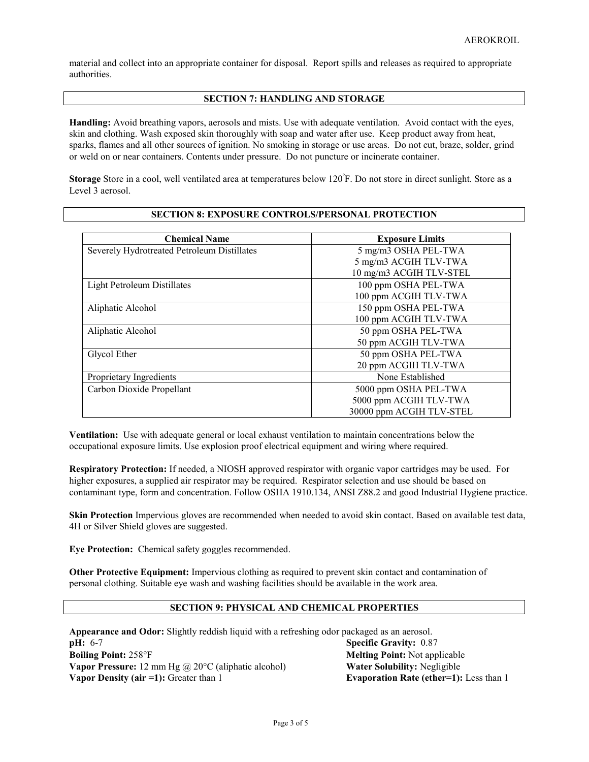material and collect into an appropriate container for disposal. Report spills and releases as required to appropriate authorities.

### **SECTION 7: HANDLING AND STORAGE**

**Handling:** Avoid breathing vapors, aerosols and mists. Use with adequate ventilation. Avoid contact with the eyes, skin and clothing. Wash exposed skin thoroughly with soap and water after use. Keep product away from heat, sparks, flames and all other sources of ignition. No smoking in storage or use areas. Do not cut, braze, solder, grind or weld on or near containers. Contents under pressure. Do not puncture or incinerate container.

**Storage** Store in a cool, well ventilated area at temperatures below 120<sup>°</sup>F. Do not store in direct sunlight. Store as a Level 3 aerosol.

| <b>Chemical Name</b>                        | <b>Exposure Limits</b>   |  |
|---------------------------------------------|--------------------------|--|
| Severely Hydrotreated Petroleum Distillates | 5 mg/m3 OSHA PEL-TWA     |  |
|                                             | 5 mg/m3 ACGIH TLV-TWA    |  |
|                                             | 10 mg/m3 ACGIH TLV-STEL  |  |
| <b>Light Petroleum Distillates</b>          | 100 ppm OSHA PEL-TWA     |  |
|                                             | 100 ppm ACGIH TLV-TWA    |  |
| Aliphatic Alcohol                           | 150 ppm OSHA PEL-TWA     |  |
|                                             | 100 ppm ACGIH TLV-TWA    |  |
| Aliphatic Alcohol                           | 50 ppm OSHA PEL-TWA      |  |
|                                             | 50 ppm ACGIH TLV-TWA     |  |
| Glycol Ether                                | 50 ppm OSHA PEL-TWA      |  |
|                                             | 20 ppm ACGIH TLV-TWA     |  |
| Proprietary Ingredients                     | None Established         |  |
| Carbon Dioxide Propellant                   | 5000 ppm OSHA PEL-TWA    |  |
|                                             | 5000 ppm ACGIH TLV-TWA   |  |
|                                             | 30000 ppm ACGIH TLV-STEL |  |

#### **SECTION 8: EXPOSURE CONTROLS/PERSONAL PROTECTION**

**Ventilation:** Use with adequate general or local exhaust ventilation to maintain concentrations below the occupational exposure limits. Use explosion proof electrical equipment and wiring where required.

**Respiratory Protection:** If needed, a NIOSH approved respirator with organic vapor cartridges may be used. For higher exposures, a supplied air respirator may be required. Respirator selection and use should be based on contaminant type, form and concentration. Follow OSHA 1910.134, ANSI Z88.2 and good Industrial Hygiene practice.

**Skin Protection** Impervious gloves are recommended when needed to avoid skin contact. Based on available test data, 4H or Silver Shield gloves are suggested.

**Eye Protection:** Chemical safety goggles recommended.

**Other Protective Equipment:** Impervious clothing as required to prevent skin contact and contamination of personal clothing. Suitable eye wash and washing facilities should be available in the work area.

### **SECTION 9: PHYSICAL AND CHEMICAL PROPERTIES**

**Appearance and Odor:** Slightly reddish liquid with a refreshing odor packaged as an aerosol. **pH:** 6-7 **Specific Gravity:** 0.87 **Boiling Point:** 258°F **Melting Point:** Not applicable **Vapor Pressure:** 12 mm Hg @ 20°C (aliphatic alcohol) **Water Solubility:** Negligible **Vapor Density (air =1):** Greater than 1 **Evaporation Rate (ether=1):** Less than 1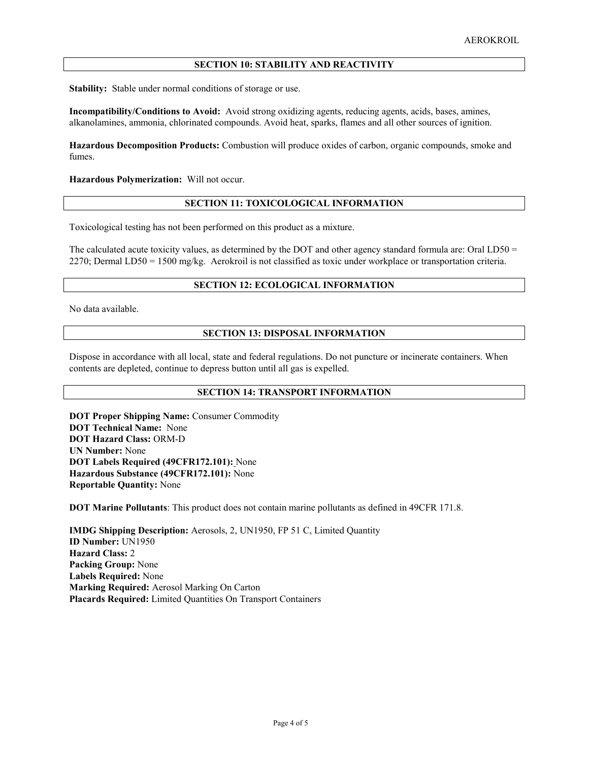# **SECTION 10: STABILITY AND REACTIVITY**

**Stability:** Stable under normal conditions of storage or use.

**Incompatibility/Conditions to Avoid:** Avoid strong oxidizing agents, reducing agents, acids, bases, amines, alkanolamines, ammonia, chlorinated compounds. Avoid heat, sparks, flames and all other sources of ignition.

**Hazardous Decomposition Products:** Combustion will produce oxides of carbon, organic compounds, smoke and fumes.

**Hazardous Polymerization:** Will not occur.

#### **SECTION 11: TOXICOLOGICAL INFORMATION**

Toxicological testing has not been performed on this product as a mixture.

The calculated acute toxicity values, as determined by the DOT and other agency standard formula are: Oral LD50 = 2270; Dermal LD50 = 1500 mg/kg. Aerokroil is not classified as toxic under workplace or transportation criteria.

# **SECTION 12: ECOLOGICAL INFORMATION**

No data available.

## **SECTION 13: DISPOSAL INFORMATION**

Dispose in accordance with all local, state and federal regulations. Do not puncture or incinerate containers. When contents are depleted, continue to depress button until all gas is expelled.

## **SECTION 14: TRANSPORT INFORMATION**

**DOT Proper Shipping Name:** Consumer Commodity **DOT Technical Name:** None **DOT Hazard Class:** ORM-D **UN Number:** None **DOT Labels Required (49CFR172.101):** None **Hazardous Substance (49CFR172.101):** None **Reportable Quantity:** None

**DOT Marine Pollutants**: This product does not contain marine pollutants as defined in 49CFR 171.8.

**IMDG Shipping Description:** Aerosols, 2, UN1950, FP 51 C, Limited Quantity **ID Number:** UN1950 **Hazard Class:** 2 **Packing Group:** None **Labels Required:** None **Marking Required:** Aerosol Marking On Carton **Placards Required:** Limited Quantities On Transport Containers